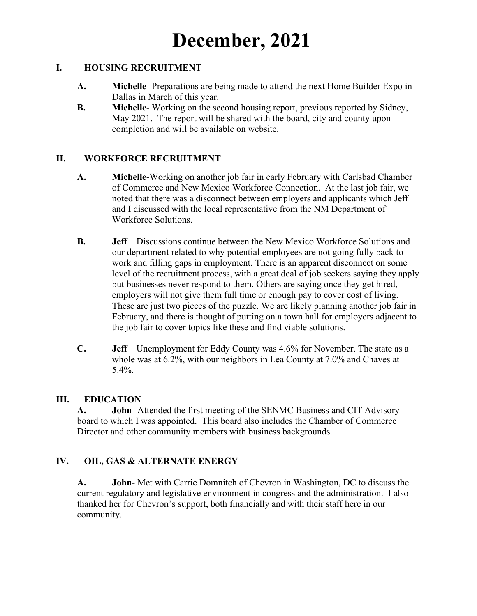# **December, 2021**

#### **I. HOUSING RECRUITMENT**

- **A. Michelle** Preparations are being made to attend the next Home Builder Expo in Dallas in March of this year.
- **B. Michelle** Working on the second housing report, previous reported by Sidney, May 2021. The report will be shared with the board, city and county upon completion and will be available on website.

#### **II. WORKFORCE RECRUITMENT**

- **A. Michelle**-Working on another job fair in early February with Carlsbad Chamber of Commerce and New Mexico Workforce Connection. At the last job fair, we noted that there was a disconnect between employers and applicants which Jeff and I discussed with the local representative from the NM Department of Workforce Solutions.
- **B. Jeff**  Discussions continue between the New Mexico Workforce Solutions and our department related to why potential employees are not going fully back to work and filling gaps in employment. There is an apparent disconnect on some level of the recruitment process, with a great deal of job seekers saying they apply but businesses never respond to them. Others are saying once they get hired, employers will not give them full time or enough pay to cover cost of living. These are just two pieces of the puzzle. We are likely planning another job fair in February, and there is thought of putting on a town hall for employers adjacent to the job fair to cover topics like these and find viable solutions.
- **C. Jeff**  Unemployment for Eddy County was 4.6% for November. The state as a whole was at 6.2%, with our neighbors in Lea County at 7.0% and Chaves at 5.4%.

#### **III. EDUCATION**

**A. John**- Attended the first meeting of the SENMC Business and CIT Advisory board to which I was appointed. This board also includes the Chamber of Commerce Director and other community members with business backgrounds.

#### **IV. OIL, GAS & ALTERNATE ENERGY**

**A. John**- Met with Carrie Domnitch of Chevron in Washington, DC to discuss the current regulatory and legislative environment in congress and the administration. I also thanked her for Chevron's support, both financially and with their staff here in our community.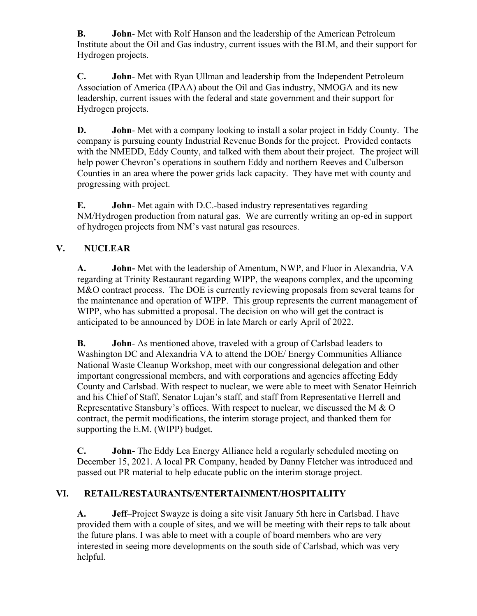**B. John**- Met with Rolf Hanson and the leadership of the American Petroleum Institute about the Oil and Gas industry, current issues with the BLM, and their support for Hydrogen projects.

**C. John**- Met with Ryan Ullman and leadership from the Independent Petroleum Association of America (IPAA) about the Oil and Gas industry, NMOGA and its new leadership, current issues with the federal and state government and their support for Hydrogen projects.

**D. John**- Met with a company looking to install a solar project in Eddy County. The company is pursuing county Industrial Revenue Bonds for the project. Provided contacts with the NMEDD, Eddy County, and talked with them about their project. The project will help power Chevron's operations in southern Eddy and northern Reeves and Culberson Counties in an area where the power grids lack capacity. They have met with county and progressing with project.

**E. John**- Met again with D.C.-based industry representatives regarding NM/Hydrogen production from natural gas. We are currently writing an op-ed in support of hydrogen projects from NM's vast natural gas resources.

## **V. NUCLEAR**

**A. John-** Met with the leadership of Amentum, NWP, and Fluor in Alexandria, VA regarding at Trinity Restaurant regarding WIPP, the weapons complex, and the upcoming M&O contract process. The DOE is currently reviewing proposals from several teams for the maintenance and operation of WIPP. This group represents the current management of WIPP, who has submitted a proposal. The decision on who will get the contract is anticipated to be announced by DOE in late March or early April of 2022.

**B. John**- As mentioned above, traveled with a group of Carlsbad leaders to Washington DC and Alexandria VA to attend the DOE/ Energy Communities Alliance National Waste Cleanup Workshop, meet with our congressional delegation and other important congressional members, and with corporations and agencies affecting Eddy County and Carlsbad. With respect to nuclear, we were able to meet with Senator Heinrich and his Chief of Staff, Senator Lujan's staff, and staff from Representative Herrell and Representative Stansbury's offices. With respect to nuclear, we discussed the M & O contract, the permit modifications, the interim storage project, and thanked them for supporting the E.M. (WIPP) budget.

**C. John-** The Eddy Lea Energy Alliance held a regularly scheduled meeting on December 15, 2021. A local PR Company, headed by Danny Fletcher was introduced and passed out PR material to help educate public on the interim storage project.

## **VI. RETAIL/RESTAURANTS/ENTERTAINMENT/HOSPITALITY**

**A. Jeff**–Project Swayze is doing a site visit January 5th here in Carlsbad. I have provided them with a couple of sites, and we will be meeting with their reps to talk about the future plans. I was able to meet with a couple of board members who are very interested in seeing more developments on the south side of Carlsbad, which was very helpful.